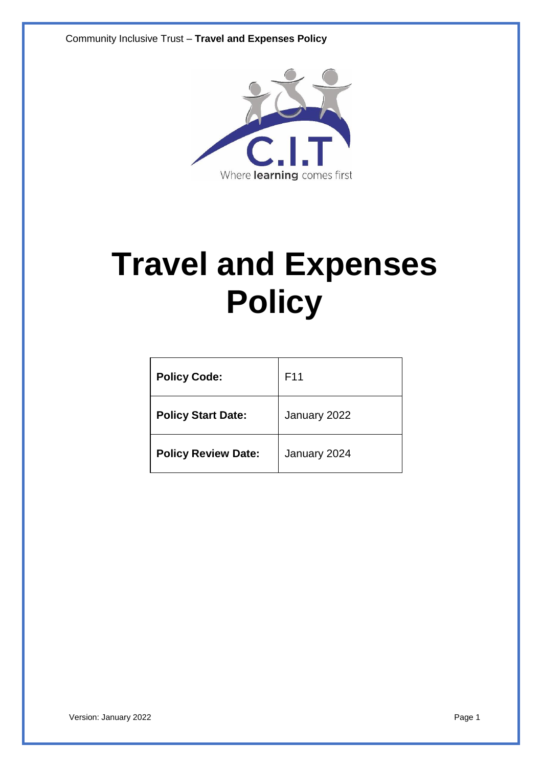

# **Travel and Expenses Policy**

| <b>Policy Code:</b>        | F11          |
|----------------------------|--------------|
| <b>Policy Start Date:</b>  | January 2022 |
| <b>Policy Review Date:</b> | January 2024 |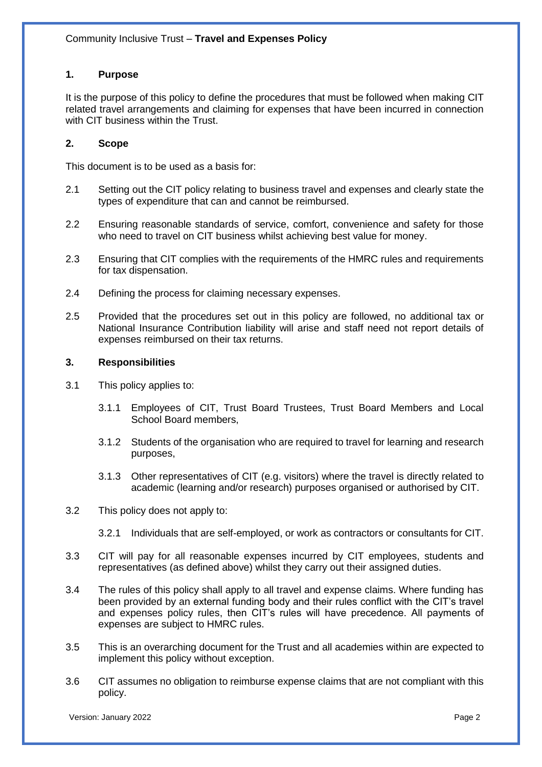# **1. Purpose**

It is the purpose of this policy to define the procedures that must be followed when making CIT related travel arrangements and claiming for expenses that have been incurred in connection with CIT business within the Trust.

# **2. Scope**

This document is to be used as a basis for:

- 2.1 Setting out the CIT policy relating to business travel and expenses and clearly state the types of expenditure that can and cannot be reimbursed.
- 2.2 Ensuring reasonable standards of service, comfort, convenience and safety for those who need to travel on CIT business whilst achieving best value for money.
- 2.3 Ensuring that CIT complies with the requirements of the HMRC rules and requirements for tax dispensation.
- 2.4 Defining the process for claiming necessary expenses.
- 2.5 Provided that the procedures set out in this policy are followed, no additional tax or National Insurance Contribution liability will arise and staff need not report details of expenses reimbursed on their tax returns.

#### **3. Responsibilities**

- 3.1 This policy applies to:
	- 3.1.1 Employees of CIT, Trust Board Trustees, Trust Board Members and Local School Board members,
	- 3.1.2 Students of the organisation who are required to travel for learning and research purposes,
	- 3.1.3 Other representatives of CIT (e.g. visitors) where the travel is directly related to academic (learning and/or research) purposes organised or authorised by CIT.
- 3.2 This policy does not apply to:
	- 3.2.1 Individuals that are self-employed, or work as contractors or consultants for CIT.
- 3.3 CIT will pay for all reasonable expenses incurred by CIT employees, students and representatives (as defined above) whilst they carry out their assigned duties.
- 3.4 The rules of this policy shall apply to all travel and expense claims. Where funding has been provided by an external funding body and their rules conflict with the CIT's travel and expenses policy rules, then CIT's rules will have precedence. All payments of expenses are subject to HMRC rules.
- 3.5 This is an overarching document for the Trust and all academies within are expected to implement this policy without exception.
- 3.6 CIT assumes no obligation to reimburse expense claims that are not compliant with this policy.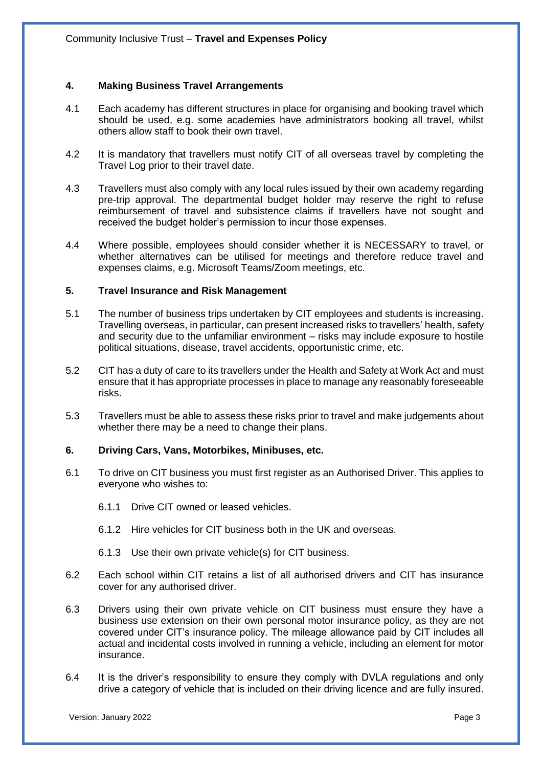# **4. Making Business Travel Arrangements**

- 4.1 Each academy has different structures in place for organising and booking travel which should be used, e.g. some academies have administrators booking all travel, whilst others allow staff to book their own travel.
- 4.2 It is mandatory that travellers must notify CIT of all overseas travel by completing the Travel Log prior to their travel date.
- 4.3 Travellers must also comply with any local rules issued by their own academy regarding pre-trip approval. The departmental budget holder may reserve the right to refuse reimbursement of travel and subsistence claims if travellers have not sought and received the budget holder's permission to incur those expenses.
- 4.4 Where possible, employees should consider whether it is NECESSARY to travel, or whether alternatives can be utilised for meetings and therefore reduce travel and expenses claims, e.g. Microsoft Teams/Zoom meetings, etc.

#### **5. Travel Insurance and Risk Management**

- 5.1 The number of business trips undertaken by CIT employees and students is increasing. Travelling overseas, in particular, can present increased risks to travellers' health, safety and security due to the unfamiliar environment – risks may include exposure to hostile political situations, disease, travel accidents, opportunistic crime, etc.
- 5.2 CIT has a duty of care to its travellers under the Health and Safety at Work Act and must ensure that it has appropriate processes in place to manage any reasonably foreseeable risks.
- 5.3 Travellers must be able to assess these risks prior to travel and make judgements about whether there may be a need to change their plans.

#### **6. Driving Cars, Vans, Motorbikes, Minibuses, etc.**

- 6.1 To drive on CIT business you must first register as an Authorised Driver. This applies to everyone who wishes to:
	- 6.1.1 Drive CIT owned or leased vehicles.
	- 6.1.2 Hire vehicles for CIT business both in the UK and overseas.
	- 6.1.3 Use their own private vehicle(s) for CIT business.
- 6.2 Each school within CIT retains a list of all authorised drivers and CIT has insurance cover for any authorised driver.
- 6.3 Drivers using their own private vehicle on CIT business must ensure they have a business use extension on their own personal motor insurance policy, as they are not covered under CIT's insurance policy. The mileage allowance paid by CIT includes all actual and incidental costs involved in running a vehicle, including an element for motor insurance.
- 6.4 It is the driver's responsibility to ensure they comply with DVLA regulations and only drive a category of vehicle that is included on their driving licence and are fully insured.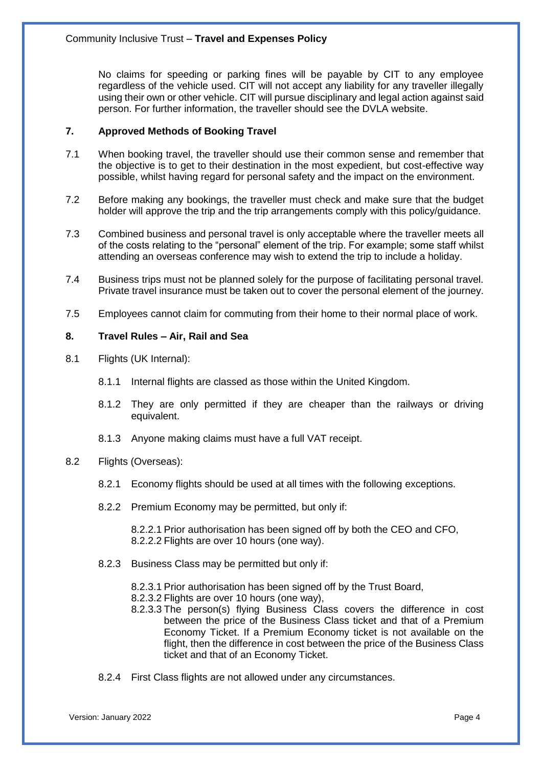No claims for speeding or parking fines will be payable by CIT to any employee regardless of the vehicle used. CIT will not accept any liability for any traveller illegally using their own or other vehicle. CIT will pursue disciplinary and legal action against said person. For further information, the traveller should see the DVLA website.

# **7. Approved Methods of Booking Travel**

- 7.1 When booking travel, the traveller should use their common sense and remember that the objective is to get to their destination in the most expedient, but cost-effective way possible, whilst having regard for personal safety and the impact on the environment.
- 7.2 Before making any bookings, the traveller must check and make sure that the budget holder will approve the trip and the trip arrangements comply with this policy/guidance.
- 7.3 Combined business and personal travel is only acceptable where the traveller meets all of the costs relating to the "personal" element of the trip. For example; some staff whilst attending an overseas conference may wish to extend the trip to include a holiday.
- 7.4 Business trips must not be planned solely for the purpose of facilitating personal travel. Private travel insurance must be taken out to cover the personal element of the journey.
- 7.5 Employees cannot claim for commuting from their home to their normal place of work.

# **8. Travel Rules – Air, Rail and Sea**

- 8.1 Flights (UK Internal):
	- 8.1.1 Internal flights are classed as those within the United Kingdom.
	- 8.1.2 They are only permitted if they are cheaper than the railways or driving equivalent.
	- 8.1.3 Anyone making claims must have a full VAT receipt.

# 8.2 Flights (Overseas):

- 8.2.1 Economy flights should be used at all times with the following exceptions.
- 8.2.2 Premium Economy may be permitted, but only if:

8.2.2.1 Prior authorisation has been signed off by both the CEO and CFO, 8.2.2.2 Flights are over 10 hours (one way).

- 8.2.3 Business Class may be permitted but only if:
	- 8.2.3.1 Prior authorisation has been signed off by the Trust Board,
	- 8.2.3.2 Flights are over 10 hours (one way),
	- 8.2.3.3 The person(s) flying Business Class covers the difference in cost between the price of the Business Class ticket and that of a Premium Economy Ticket. If a Premium Economy ticket is not available on the flight, then the difference in cost between the price of the Business Class ticket and that of an Economy Ticket.
- 8.2.4 First Class flights are not allowed under any circumstances.

Version: January 2022 **Page 4**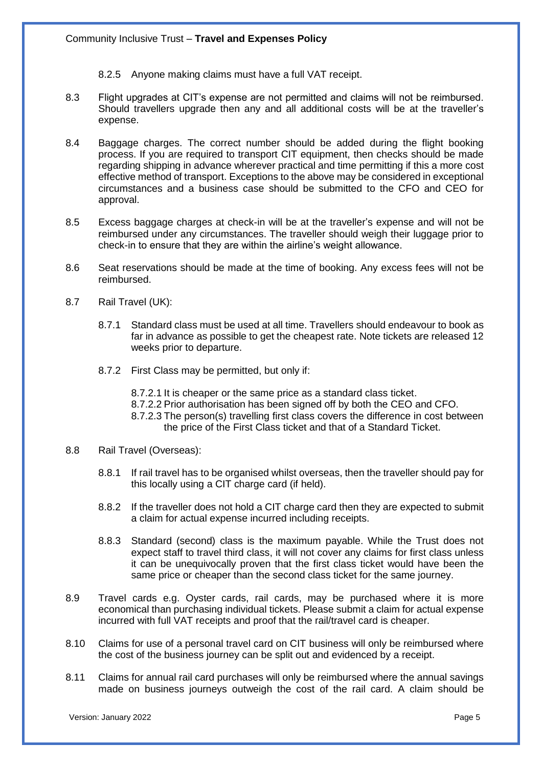- 8.2.5 Anyone making claims must have a full VAT receipt.
- 8.3 Flight upgrades at CIT's expense are not permitted and claims will not be reimbursed. Should travellers upgrade then any and all additional costs will be at the traveller's expense.
- 8.4 Baggage charges. The correct number should be added during the flight booking process. If you are required to transport CIT equipment, then checks should be made regarding shipping in advance wherever practical and time permitting if this a more cost effective method of transport. Exceptions to the above may be considered in exceptional circumstances and a business case should be submitted to the CFO and CEO for approval.
- 8.5 Excess baggage charges at check-in will be at the traveller's expense and will not be reimbursed under any circumstances. The traveller should weigh their luggage prior to check-in to ensure that they are within the airline's weight allowance.
- 8.6 Seat reservations should be made at the time of booking. Any excess fees will not be reimbursed.
- 8.7 Rail Travel (UK):
	- 8.7.1 Standard class must be used at all time. Travellers should endeavour to book as far in advance as possible to get the cheapest rate. Note tickets are released 12 weeks prior to departure.
	- 8.7.2 First Class may be permitted, but only if:
		- 8.7.2.1 It is cheaper or the same price as a standard class ticket.
		- 8.7.2.2 Prior authorisation has been signed off by both the CEO and CFO.
		- 8.7.2.3 The person(s) travelling first class covers the difference in cost between the price of the First Class ticket and that of a Standard Ticket.
- 8.8 Rail Travel (Overseas):
	- 8.8.1 If rail travel has to be organised whilst overseas, then the traveller should pay for this locally using a CIT charge card (if held).
	- 8.8.2 If the traveller does not hold a CIT charge card then they are expected to submit a claim for actual expense incurred including receipts.
	- 8.8.3 Standard (second) class is the maximum payable. While the Trust does not expect staff to travel third class, it will not cover any claims for first class unless it can be unequivocally proven that the first class ticket would have been the same price or cheaper than the second class ticket for the same journey.
- 8.9 Travel cards e.g. Oyster cards, rail cards, may be purchased where it is more economical than purchasing individual tickets. Please submit a claim for actual expense incurred with full VAT receipts and proof that the rail/travel card is cheaper.
- 8.10 Claims for use of a personal travel card on CIT business will only be reimbursed where the cost of the business journey can be split out and evidenced by a receipt.
- 8.11 Claims for annual rail card purchases will only be reimbursed where the annual savings made on business journeys outweigh the cost of the rail card. A claim should be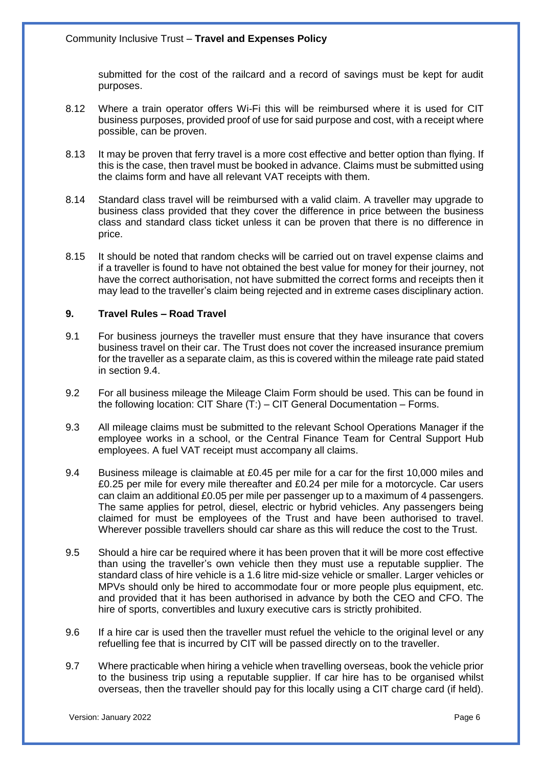submitted for the cost of the railcard and a record of savings must be kept for audit purposes.

- 8.12 Where a train operator offers Wi-Fi this will be reimbursed where it is used for CIT business purposes, provided proof of use for said purpose and cost, with a receipt where possible, can be proven.
- 8.13 It may be proven that ferry travel is a more cost effective and better option than flying. If this is the case, then travel must be booked in advance. Claims must be submitted using the claims form and have all relevant VAT receipts with them.
- 8.14 Standard class travel will be reimbursed with a valid claim. A traveller may upgrade to business class provided that they cover the difference in price between the business class and standard class ticket unless it can be proven that there is no difference in price.
- 8.15 It should be noted that random checks will be carried out on travel expense claims and if a traveller is found to have not obtained the best value for money for their journey, not have the correct authorisation, not have submitted the correct forms and receipts then it may lead to the traveller's claim being rejected and in extreme cases disciplinary action.

#### **9. Travel Rules – Road Travel**

- 9.1 For business journeys the traveller must ensure that they have insurance that covers business travel on their car. The Trust does not cover the increased insurance premium for the traveller as a separate claim, as this is covered within the mileage rate paid stated in section 9.4.
- 9.2 For all business mileage the Mileage Claim Form should be used. This can be found in the following location: CIT Share (T:) – CIT General Documentation – Forms.
- 9.3 All mileage claims must be submitted to the relevant School Operations Manager if the employee works in a school, or the Central Finance Team for Central Support Hub employees. A fuel VAT receipt must accompany all claims.
- 9.4 Business mileage is claimable at £0.45 per mile for a car for the first 10,000 miles and £0.25 per mile for every mile thereafter and £0.24 per mile for a motorcycle. Car users can claim an additional £0.05 per mile per passenger up to a maximum of 4 passengers. The same applies for petrol, diesel, electric or hybrid vehicles. Any passengers being claimed for must be employees of the Trust and have been authorised to travel. Wherever possible travellers should car share as this will reduce the cost to the Trust.
- 9.5 Should a hire car be required where it has been proven that it will be more cost effective than using the traveller's own vehicle then they must use a reputable supplier. The standard class of hire vehicle is a 1.6 litre mid-size vehicle or smaller. Larger vehicles or MPVs should only be hired to accommodate four or more people plus equipment, etc. and provided that it has been authorised in advance by both the CEO and CFO. The hire of sports, convertibles and luxury executive cars is strictly prohibited.
- 9.6 If a hire car is used then the traveller must refuel the vehicle to the original level or any refuelling fee that is incurred by CIT will be passed directly on to the traveller.
- 9.7 Where practicable when hiring a vehicle when travelling overseas, book the vehicle prior to the business trip using a reputable supplier. If car hire has to be organised whilst overseas, then the traveller should pay for this locally using a CIT charge card (if held).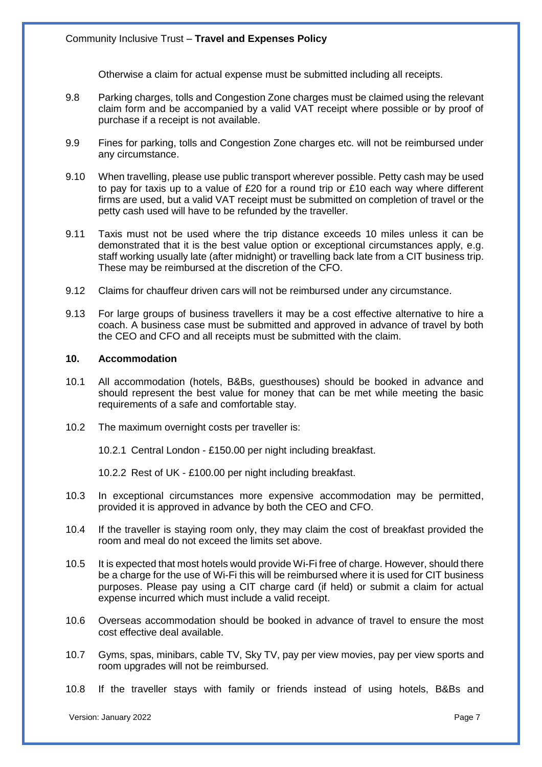Otherwise a claim for actual expense must be submitted including all receipts.

- 9.8 Parking charges, tolls and Congestion Zone charges must be claimed using the relevant claim form and be accompanied by a valid VAT receipt where possible or by proof of purchase if a receipt is not available.
- 9.9 Fines for parking, tolls and Congestion Zone charges etc. will not be reimbursed under any circumstance.
- 9.10 When travelling, please use public transport wherever possible. Petty cash may be used to pay for taxis up to a value of £20 for a round trip or £10 each way where different firms are used, but a valid VAT receipt must be submitted on completion of travel or the petty cash used will have to be refunded by the traveller.
- 9.11 Taxis must not be used where the trip distance exceeds 10 miles unless it can be demonstrated that it is the best value option or exceptional circumstances apply, e.g. staff working usually late (after midnight) or travelling back late from a CIT business trip. These may be reimbursed at the discretion of the CFO.
- 9.12 Claims for chauffeur driven cars will not be reimbursed under any circumstance.
- 9.13 For large groups of business travellers it may be a cost effective alternative to hire a coach. A business case must be submitted and approved in advance of travel by both the CEO and CFO and all receipts must be submitted with the claim.

#### **10. Accommodation**

- 10.1 All accommodation (hotels, B&Bs, guesthouses) should be booked in advance and should represent the best value for money that can be met while meeting the basic requirements of a safe and comfortable stay.
- 10.2 The maximum overnight costs per traveller is:

10.2.1 Central London - £150.00 per night including breakfast.

10.2.2 Rest of UK - £100.00 per night including breakfast.

- 10.3 In exceptional circumstances more expensive accommodation may be permitted, provided it is approved in advance by both the CEO and CFO.
- 10.4 If the traveller is staying room only, they may claim the cost of breakfast provided the room and meal do not exceed the limits set above.
- 10.5 It is expected that most hotels would provide Wi-Fi free of charge. However, should there be a charge for the use of Wi-Fi this will be reimbursed where it is used for CIT business purposes. Please pay using a CIT charge card (if held) or submit a claim for actual expense incurred which must include a valid receipt.
- 10.6 Overseas accommodation should be booked in advance of travel to ensure the most cost effective deal available.
- 10.7 Gyms, spas, minibars, cable TV, Sky TV, pay per view movies, pay per view sports and room upgrades will not be reimbursed.
- 10.8 If the traveller stays with family or friends instead of using hotels, B&Bs and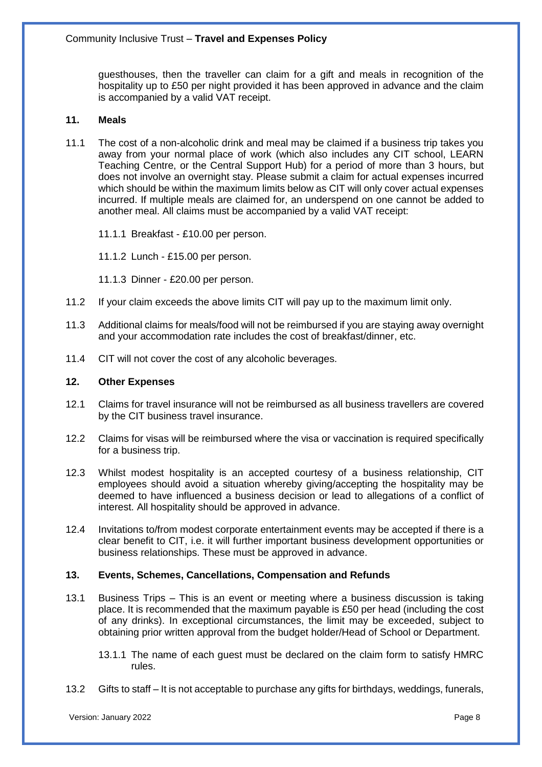guesthouses, then the traveller can claim for a gift and meals in recognition of the hospitality up to £50 per night provided it has been approved in advance and the claim is accompanied by a valid VAT receipt.

# **11. Meals**

- 11.1 The cost of a non-alcoholic drink and meal may be claimed if a business trip takes you away from your normal place of work (which also includes any CIT school, LEARN Teaching Centre, or the Central Support Hub) for a period of more than 3 hours, but does not involve an overnight stay. Please submit a claim for actual expenses incurred which should be within the maximum limits below as CIT will only cover actual expenses incurred. If multiple meals are claimed for, an underspend on one cannot be added to another meal. All claims must be accompanied by a valid VAT receipt:
	- 11.1.1 Breakfast £10.00 per person.
	- 11.1.2 Lunch £15.00 per person.
	- 11.1.3 Dinner £20.00 per person.
- 11.2 If your claim exceeds the above limits CIT will pay up to the maximum limit only.
- 11.3 Additional claims for meals/food will not be reimbursed if you are staying away overnight and your accommodation rate includes the cost of breakfast/dinner, etc.
- 11.4 CIT will not cover the cost of any alcoholic beverages.

# **12. Other Expenses**

- 12.1 Claims for travel insurance will not be reimbursed as all business travellers are covered by the CIT business travel insurance.
- 12.2 Claims for visas will be reimbursed where the visa or vaccination is required specifically for a business trip.
- 12.3 Whilst modest hospitality is an accepted courtesy of a business relationship, CIT employees should avoid a situation whereby giving/accepting the hospitality may be deemed to have influenced a business decision or lead to allegations of a conflict of interest. All hospitality should be approved in advance.
- 12.4 Invitations to/from modest corporate entertainment events may be accepted if there is a clear benefit to CIT, i.e. it will further important business development opportunities or business relationships. These must be approved in advance.

# **13. Events, Schemes, Cancellations, Compensation and Refunds**

- 13.1 Business Trips This is an event or meeting where a business discussion is taking place. It is recommended that the maximum payable is £50 per head (including the cost of any drinks). In exceptional circumstances, the limit may be exceeded, subject to obtaining prior written approval from the budget holder/Head of School or Department.
	- 13.1.1 The name of each guest must be declared on the claim form to satisfy HMRC rules.
- 13.2 Gifts to staff It is not acceptable to purchase any gifts for birthdays, weddings, funerals,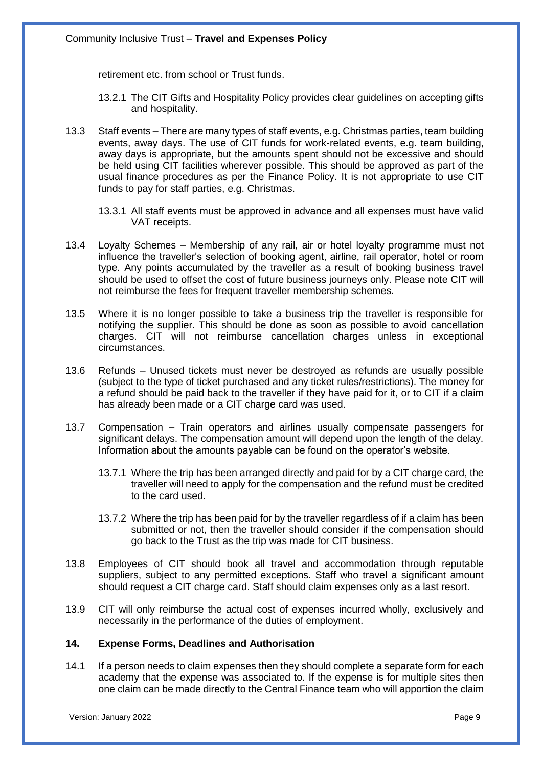retirement etc. from school or Trust funds.

- 13.2.1 The CIT Gifts and Hospitality Policy provides clear guidelines on accepting gifts and hospitality.
- 13.3 Staff events There are many types of staff events, e.g. Christmas parties, team building events, away days. The use of CIT funds for work-related events, e.g. team building, away days is appropriate, but the amounts spent should not be excessive and should be held using CIT facilities wherever possible. This should be approved as part of the usual finance procedures as per the Finance Policy. It is not appropriate to use CIT funds to pay for staff parties, e.g. Christmas.
	- 13.3.1 All staff events must be approved in advance and all expenses must have valid VAT receipts.
- 13.4 Loyalty Schemes Membership of any rail, air or hotel loyalty programme must not influence the traveller's selection of booking agent, airline, rail operator, hotel or room type. Any points accumulated by the traveller as a result of booking business travel should be used to offset the cost of future business journeys only. Please note CIT will not reimburse the fees for frequent traveller membership schemes.
- 13.5 Where it is no longer possible to take a business trip the traveller is responsible for notifying the supplier. This should be done as soon as possible to avoid cancellation charges. CIT will not reimburse cancellation charges unless in exceptional circumstances.
- 13.6 Refunds Unused tickets must never be destroyed as refunds are usually possible (subject to the type of ticket purchased and any ticket rules/restrictions). The money for a refund should be paid back to the traveller if they have paid for it, or to CIT if a claim has already been made or a CIT charge card was used.
- 13.7 Compensation Train operators and airlines usually compensate passengers for significant delays. The compensation amount will depend upon the length of the delay. Information about the amounts payable can be found on the operator's website.
	- 13.7.1 Where the trip has been arranged directly and paid for by a CIT charge card, the traveller will need to apply for the compensation and the refund must be credited to the card used.
	- 13.7.2 Where the trip has been paid for by the traveller regardless of if a claim has been submitted or not, then the traveller should consider if the compensation should go back to the Trust as the trip was made for CIT business.
- 13.8 Employees of CIT should book all travel and accommodation through reputable suppliers, subject to any permitted exceptions. Staff who travel a significant amount should request a CIT charge card. Staff should claim expenses only as a last resort.
- 13.9 CIT will only reimburse the actual cost of expenses incurred wholly, exclusively and necessarily in the performance of the duties of employment.

# **14. Expense Forms, Deadlines and Authorisation**

14.1 If a person needs to claim expenses then they should complete a separate form for each academy that the expense was associated to. If the expense is for multiple sites then one claim can be made directly to the Central Finance team who will apportion the claim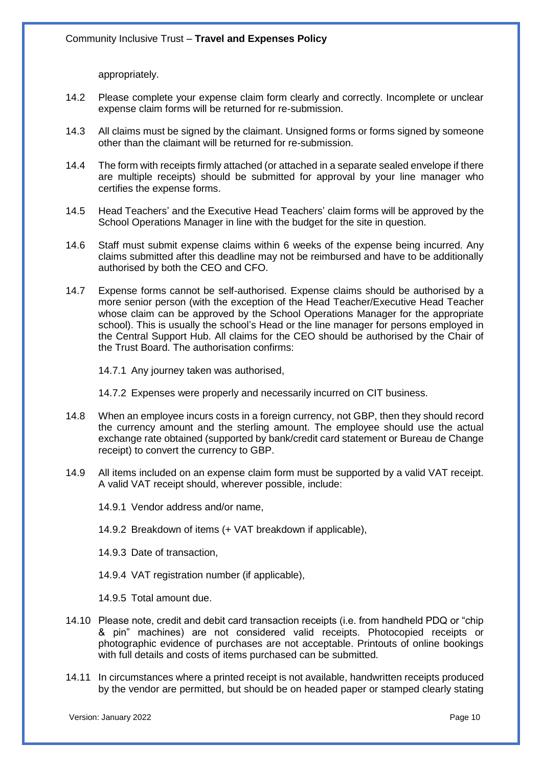appropriately.

- 14.2 Please complete your expense claim form clearly and correctly. Incomplete or unclear expense claim forms will be returned for re-submission.
- 14.3 All claims must be signed by the claimant. Unsigned forms or forms signed by someone other than the claimant will be returned for re-submission.
- 14.4 The form with receipts firmly attached (or attached in a separate sealed envelope if there are multiple receipts) should be submitted for approval by your line manager who certifies the expense forms.
- 14.5 Head Teachers' and the Executive Head Teachers' claim forms will be approved by the School Operations Manager in line with the budget for the site in question.
- 14.6 Staff must submit expense claims within 6 weeks of the expense being incurred. Any claims submitted after this deadline may not be reimbursed and have to be additionally authorised by both the CEO and CFO.
- 14.7 Expense forms cannot be self-authorised. Expense claims should be authorised by a more senior person (with the exception of the Head Teacher/Executive Head Teacher whose claim can be approved by the School Operations Manager for the appropriate school). This is usually the school's Head or the line manager for persons employed in the Central Support Hub. All claims for the CEO should be authorised by the Chair of the Trust Board. The authorisation confirms:
	- 14.7.1 Any journey taken was authorised,
	- 14.7.2 Expenses were properly and necessarily incurred on CIT business.
- 14.8 When an employee incurs costs in a foreign currency, not GBP, then they should record the currency amount and the sterling amount. The employee should use the actual exchange rate obtained (supported by bank/credit card statement or Bureau de Change receipt) to convert the currency to GBP.
- 14.9 All items included on an expense claim form must be supported by a valid VAT receipt. A valid VAT receipt should, wherever possible, include:
	- 14.9.1 Vendor address and/or name,
	- 14.9.2 Breakdown of items (+ VAT breakdown if applicable),
	- 14.9.3 Date of transaction,
	- 14.9.4 VAT registration number (if applicable).
	- 14.9.5 Total amount due.
- 14.10 Please note, credit and debit card transaction receipts (i.e. from handheld PDQ or "chip & pin" machines) are not considered valid receipts. Photocopied receipts or photographic evidence of purchases are not acceptable. Printouts of online bookings with full details and costs of items purchased can be submitted.
- 14.11 In circumstances where a printed receipt is not available, handwritten receipts produced by the vendor are permitted, but should be on headed paper or stamped clearly stating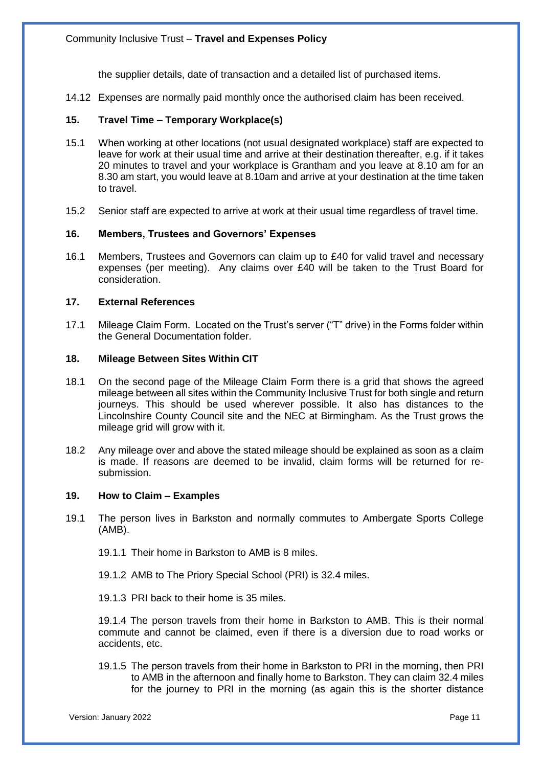the supplier details, date of transaction and a detailed list of purchased items.

14.12 Expenses are normally paid monthly once the authorised claim has been received.

## **15. Travel Time – Temporary Workplace(s)**

- 15.1 When working at other locations (not usual designated workplace) staff are expected to leave for work at their usual time and arrive at their destination thereafter, e.g. if it takes 20 minutes to travel and your workplace is Grantham and you leave at 8.10 am for an 8.30 am start, you would leave at 8.10am and arrive at your destination at the time taken to travel.
- 15.2 Senior staff are expected to arrive at work at their usual time regardless of travel time.

## **16. Members, Trustees and Governors' Expenses**

16.1 Members, Trustees and Governors can claim up to £40 for valid travel and necessary expenses (per meeting). Any claims over £40 will be taken to the Trust Board for consideration.

#### **17. External References**

17.1 Mileage Claim Form. Located on the Trust's server ("T" drive) in the Forms folder within the General Documentation folder.

#### **18. Mileage Between Sites Within CIT**

- 18.1 On the second page of the Mileage Claim Form there is a grid that shows the agreed mileage between all sites within the Community Inclusive Trust for both single and return journeys. This should be used wherever possible. It also has distances to the Lincolnshire County Council site and the NEC at Birmingham. As the Trust grows the mileage grid will grow with it.
- 18.2 Any mileage over and above the stated mileage should be explained as soon as a claim is made. If reasons are deemed to be invalid, claim forms will be returned for resubmission.

#### **19. How to Claim – Examples**

- 19.1 The person lives in Barkston and normally commutes to Ambergate Sports College (AMB).
	- 19.1.1 Their home in Barkston to AMB is 8 miles.
	- 19.1.2 AMB to The Priory Special School (PRI) is 32.4 miles.
	- 19.1.3 PRI back to their home is 35 miles.

19.1.4 The person travels from their home in Barkston to AMB. This is their normal commute and cannot be claimed, even if there is a diversion due to road works or accidents, etc.

19.1.5 The person travels from their home in Barkston to PRI in the morning, then PRI to AMB in the afternoon and finally home to Barkston. They can claim 32.4 miles for the journey to PRI in the morning (as again this is the shorter distance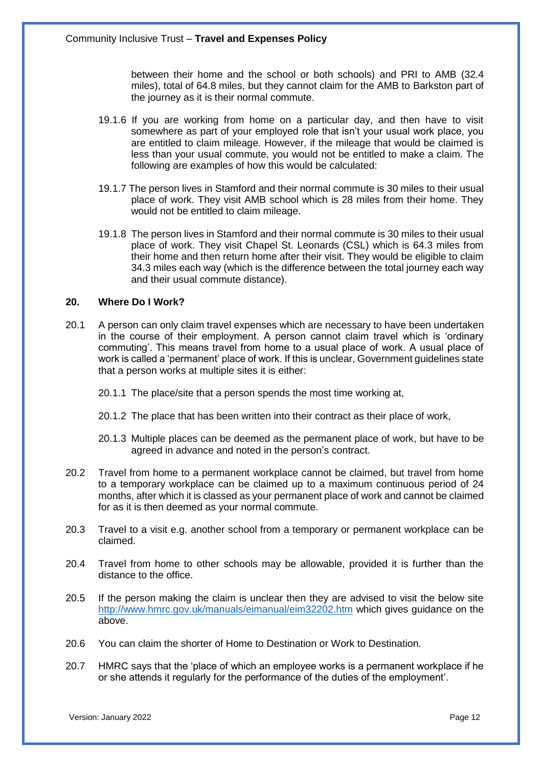between their home and the school or both schools) and PRI to AMB (32.4 miles), total of 64.8 miles, but they cannot claim for the AMB to Barkston part of the journey as it is their normal commute.

- 19.1.6 If you are working from home on a particular day, and then have to visit somewhere as part of your employed role that isn't your usual work place, you are entitled to claim mileage. However, if the mileage that would be claimed is less than your usual commute, you would not be entitled to make a claim. The following are examples of how this would be calculated:
- 19.1.7 The person lives in Stamford and their normal commute is 30 miles to their usual place of work. They visit AMB school which is 28 miles from their home. They would not be entitled to claim mileage.
- 19.1.8 The person lives in Stamford and their normal commute is 30 miles to their usual place of work. They visit Chapel St. Leonards (CSL) which is 64.3 miles from their home and then return home after their visit. They would be eligible to claim 34.3 miles each way (which is the difference between the total journey each way and their usual commute distance).

#### **20. Where Do I Work?**

- 20.1 A person can only claim travel expenses which are necessary to have been undertaken in the course of their employment. A person cannot claim travel which is 'ordinary commuting'. This means travel from home to a usual place of work. A usual place of work is called a 'permanent' place of work. If this is unclear, Government guidelines state that a person works at multiple sites it is either:
	- 20.1.1 The place/site that a person spends the most time working at,
	- 20.1.2 The place that has been written into their contract as their place of work,
	- 20.1.3 Multiple places can be deemed as the permanent place of work, but have to be agreed in advance and noted in the person's contract.
- 20.2 Travel from home to a permanent workplace cannot be claimed, but travel from home to a temporary workplace can be claimed up to a maximum continuous period of 24 months, after which it is classed as your permanent place of work and cannot be claimed for as it is then deemed as your normal commute.
- 20.3 Travel to a visit e.g. another school from a temporary or permanent workplace can be claimed.
- 20.4 Travel from home to other schools may be allowable, provided it is further than the distance to the office.
- 20.5 If the person making the claim is unclear then they are advised to visit the below site <http://www.hmrc.gov.uk/manuals/eimanual/eim32202.htm> which gives guidance on the above.
- 20.6 You can claim the shorter of Home to Destination or Work to Destination.
- 20.7 HMRC says that the 'place of which an employee works is a permanent workplace if he or she attends it regularly for the performance of the duties of the employment'.